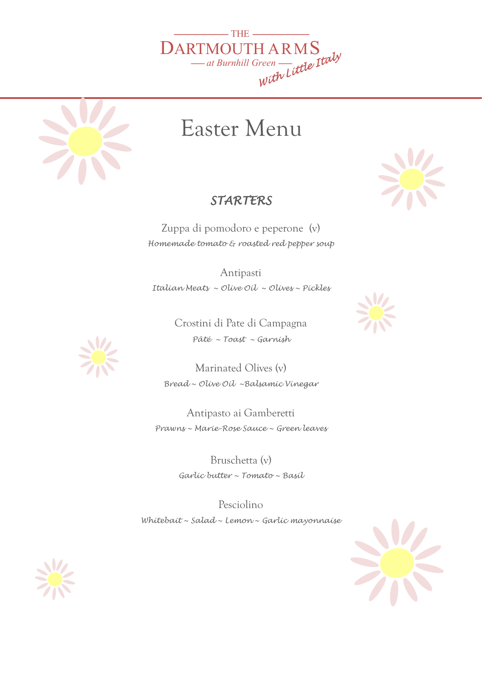



## Easter Menu

## *STARTERS*

Zuppa di pomodoro e peperone (v) *Homemade tomato & roasted red pepper soup* 

Antipasti *Italian Meats ~ Olive Oil ~ Olives ~ Pickles* 

> Crostini di Pate di Campagna *Pâté ~ Toast ~ Garnish*

Marinated Olives (v) *Bread ~ Olive Oil ~Balsamic Vinegar* 

> Antipasto ai Gamberetti *Prawns ~ Marie-Rose Sauce ~ Green leaves*

> > Bruschetta (v) *Garlic butter ~ Tomato ~ Basil*

Pesciolino *Whitebait ~ Salad ~ Lemon ~ Garlic mayonnaise*